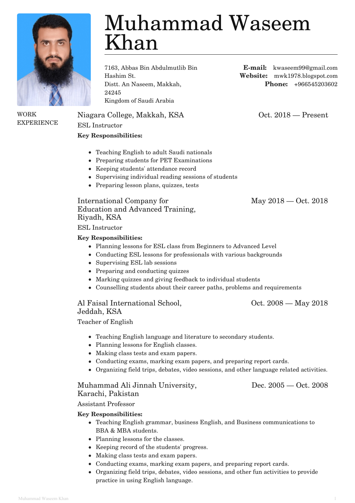

WORK

**EXPERIENCE** 

# Muhammad Waseem Khan

7163, Abbas Bin Abdulmutlib Bin Hashim St. Distt. An Naseem, Makkah, 24245 Kingdom of Saudi Arabia

Niagara College, Makkah, KSA Oct. 2018 — Present

ESL Instructor

# **Key Responsibilities:**

- Teaching English to adult Saudi nationals
- Preparing students for PET Examinations
- Keeping students' attendance record
- Supervising individual reading sessions of students
- Preparing lesson plans, quizzes, tests

International Company for Education and Advanced Training, Riyadh, KSA

ESL Instructor

# **Key Responsibilities:**

- Planning lessons for ESL class from Beginners to Advanced Level
- Conducting ESL lessons for professionals with various backgrounds
- Supervising ESL lab sessions
- Preparing and conducting quizzes
- Marking quizzes and giving feedback to individual students
- Counselling students about their career paths, problems and requirements

Al Faisal International School, Jeddah, KSA

Teacher of English

- Teaching English language and literature to secondary students.
- Planning lessons for English classes.
- Making class tests and exam papers.
- Conducting exams, marking exam papers, and preparing report cards.
- Organizing field trips, debates, video sessions, and other language related activities.

### Muhammad Ali Jinnah University, Karachi, Pakistan

Dec. 2005 — Oct. 2008

Assistant Professor

# **Key Responsibilities:**

- Teaching English grammar, business English, and Business communications to BBA & MBA students.
- Planning lessons for the classes.
- Keeping record of the students' progress.
- Making class tests and exam papers.
- Conducting exams, marking exam papers, and preparing report cards.
- Organizing field trips, debates, video sessions, and other fun activities to provide practice in using English language.

**E-mail:** kwaseem99@gmail.com **Website:** mwk1978.blogspot.com **Phone:** +966545203602

May 2018 — Oct. 2018

Oct. 2008 — May 2018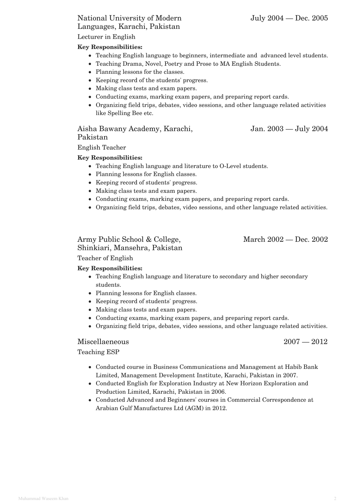## National University of Modern Languages, Karachi, Pakistan

Lecturer in English

#### **Key Responsibilities:**

- Teaching English language to beginners, intermediate and advanced level students.
- Teaching Drama, Novel, Poetry and Prose to MA English Students.
- Planning lessons for the classes.
- Keeping record of the students' progress.
- Making class tests and exam papers.
- Conducting exams, marking exam papers, and preparing report cards.
- Organizing field trips, debates, video sessions, and other language related activities like Spelling Bee etc.

## Aisha Bawany Academy, Karachi, Pakistan

English Teacher

#### **Key Responsibilities:**

- Teaching English language and literature to O-Level students.
- Planning lessons for English classes.
- Keeping record of students' progress.
- Making class tests and exam papers.
- Conducting exams, marking exam papers, and preparing report cards.
- Organizing field trips, debates, video sessions, and other language related activities.

#### Army Public School & College, Shinkiari, Mansehra, Pakistan

March 2002 — Dec. 2002

Teacher of English

#### **Key Responsibilities:**

- Teaching English language and literature to secondary and higher secondary students.
- Planning lessons for English classes.
- Keeping record of students' progress.
- Making class tests and exam papers.
- Conducting exams, marking exam papers, and preparing report cards.
- Organizing field trips, debates, video sessions, and other language related activities.

#### Miscellaeneous 2007 — 2012

Teaching ESP

- Conducted course in Business Communications and Management at Habib Bank Limited, Management Development Institute, Karachi, Pakistan in 2007.
- Conducted English for Exploration Industry at New Horizon Exploration and Production Limited, Karachi, Pakistan in 2006.
- Conducted Advanced and Beginners' courses in Commercial Correspondence at Arabian Gulf Manufactures Ltd (AGM) in 2012.

Jan. 2003 — July 2004